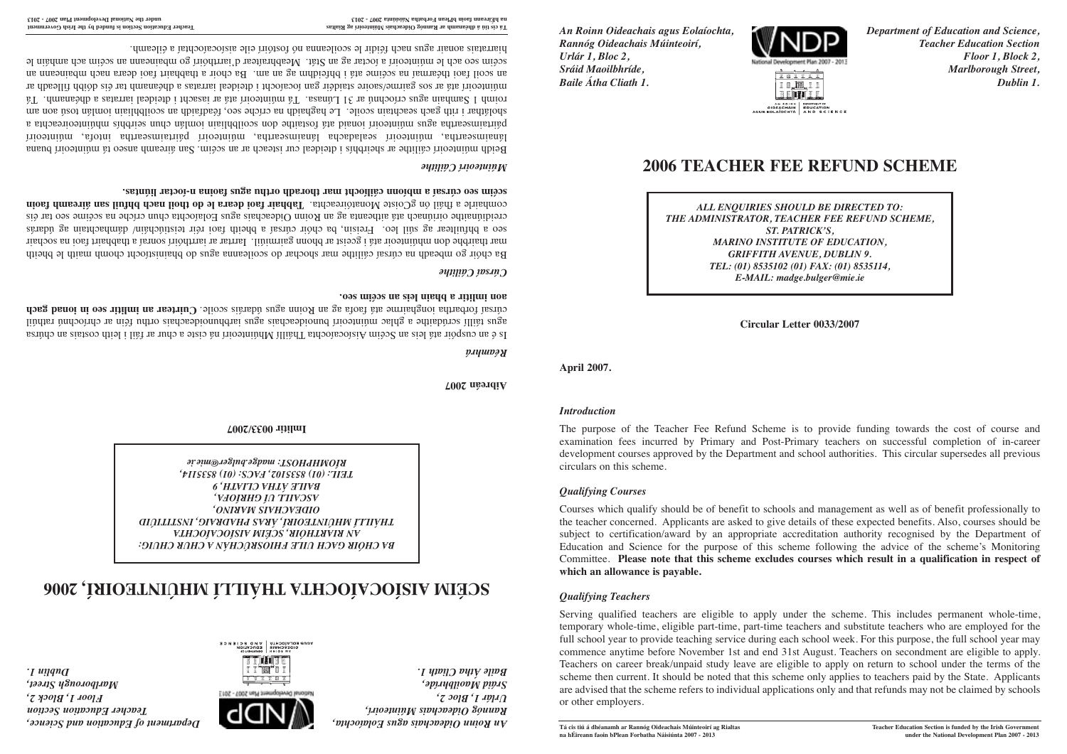*An Roinn Oideachais agus Eolaíochta, Department of Education and Science, Rannóg Oideachais Múinteoirí, Teacher Education Section Urlár 1, Bloc 2, Floor 1, Block 2, Sráid Maoilbhríde, Marlborough Street, Baile Átha Cliath 1. Dublin 1.*



# **2006 TEACHER FEE REFUND SCHEME**

AN KOINN UMATHENT OF CHATERS SIDE ACTION<br>CIDEACHAIS EDUCATION<br>AGUS EOLAÍOCHTA A ND SCIENCE

*ALL ENQUIRIES SHOULD BE DIRECTED TO: THE ADMINISTRATOR, TEACHER FEE REFUND SCHEME, ST. PATRICK'S, MARINO INSTITUTE OF EDUCATION, GRIFFITH AVENUE, DUBLIN 9. TEL: (01) 8535102 (01) FAX: (01) 8535114, E-MAIL: madge.bulger@mie.ie*

**Circular Letter 0033/2007**

**April 2007.**

#### *Introduction*

The purpose of the Teacher Fee Refund Scheme is to provide funding towards the cost of course and examination fees incurred by Primary and Post-Primary teachers on successful completion of in-career development courses approved by the Department and school authorities. This circular supersedes all previous circulars on this scheme.

## *Qualifying Courses*

Courses which qualify should be of benefit to schools and management as well as of benefit professionally to the teacher concerned. Applicants are asked to give details of these expected benefits. Also, courses should be subject to certification/award by an appropriate accreditation authority recognised by the Department of Education and Science for the purpose of this scheme following the advice of the scheme's Monitoring Committee. **Please note that this scheme excludes courses which result in a qualification in respect of which an allowance is payable.**

## *Qualifying Teachers*

Serving qualified teachers are eligible to apply under the scheme. This includes permanent whole-time, temporary whole-time, eligible part-time, part-time teachers and substitute teachers who are employed for the full school year to provide teaching service during each school week. For this purpose, the full school year may commence anytime before November 1st and end 31st August. Teachers on secondment are eligible to apply. Teachers on career break/unpaid study leave are eligible to apply on return to school under the terms of the scheme then current. It should be noted that this scheme only applies to teachers paid by the State. Applicants are advised that the scheme refers to individual applications only and that refunds may not be claimed by schools or other employers.